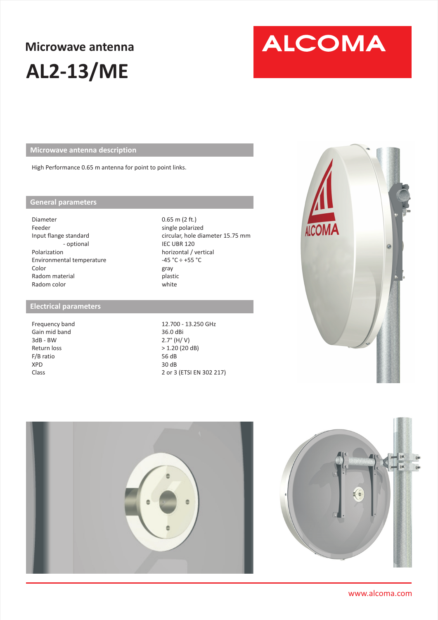## **Microwave antenna AL2-13/ME**

# **ALCOMA**

**Microwave antenna description** 

High Performance 0.65 m antenna for point to point links.

#### **General parameters**

Diameter Feeder Input flange standard - optional Polarization Environmental temperature Color Radom material Radom color

#### **Electrical parameters**

Frequency band Gain mid band 3dB - BW Return loss F/B ratio XPD Class

0.65 m (2 ft.) single polarized circular, hole diameter 15.75 mm IEC UBR 120 horizontal / vertical  $-45 °C \div +55 °C$ gray plastic white

12.700 - 13.250 GHz 36.0 dBi 2.7° (H/ V) > 1.20 (20 dB) 56 dB 30 dB 2 or 3 (ETSI EN 302 217)